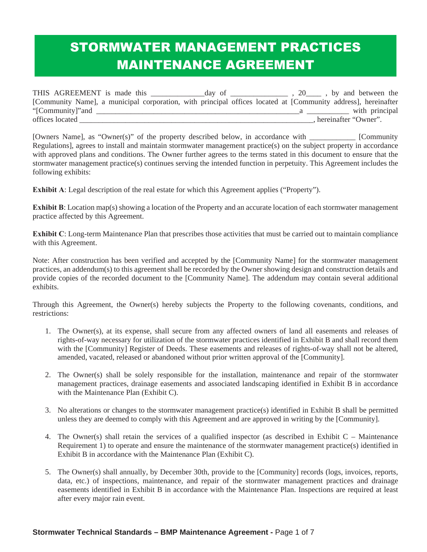# STORMWATER MANAGEMENT PRACTICES MAINTENANCE AGREEMENT

| THIS AGREEMENT is made this                                                                                   | day of | $\frac{1}{20}$ , 20 $\frac{1}{20}$ , by and between the |                        |
|---------------------------------------------------------------------------------------------------------------|--------|---------------------------------------------------------|------------------------|
| [Community Name], a municipal corporation, with principal offices located at [Community address], hereinafter |        |                                                         |                        |
| "[Community]" and                                                                                             |        |                                                         | with principal         |
| offices located                                                                                               |        |                                                         | . hereinafter "Owner". |

[Owners Name], as "Owner(s)" of the property described below, in accordance with \_\_\_\_\_\_\_\_\_\_\_\_ [Community Regulations], agrees to install and maintain stormwater management practice(s) on the subject property in accordance with approved plans and conditions. The Owner further agrees to the terms stated in this document to ensure that the stormwater management practice(s) continues serving the intended function in perpetuity. This Agreement includes the following exhibits:

**Exhibit A**: Legal description of the real estate for which this Agreement applies ("Property").

**Exhibit B**: Location map(s) showing a location of the Property and an accurate location of each stormwater management practice affected by this Agreement.

**Exhibit C**: Long-term Maintenance Plan that prescribes those activities that must be carried out to maintain compliance with this Agreement.

Note: After construction has been verified and accepted by the [Community Name] for the stormwater management practices, an addendum(s) to this agreement shall be recorded by the Owner showing design and construction details and provide copies of the recorded document to the [Community Name]. The addendum may contain several additional exhibits.

Through this Agreement, the Owner(s) hereby subjects the Property to the following covenants, conditions, and restrictions:

- 1. The Owner(s), at its expense, shall secure from any affected owners of land all easements and releases of rights-of-way necessary for utilization of the stormwater practices identified in Exhibit B and shall record them with the [Community] Register of Deeds. These easements and releases of rights-of-way shall not be altered, amended, vacated, released or abandoned without prior written approval of the [Community].
- 2. The Owner(s) shall be solely responsible for the installation, maintenance and repair of the stormwater management practices, drainage easements and associated landscaping identified in Exhibit B in accordance with the Maintenance Plan (Exhibit C).
- 3. No alterations or changes to the stormwater management practice(s) identified in Exhibit B shall be permitted unless they are deemed to comply with this Agreement and are approved in writing by the [Community].
- 4. The Owner(s) shall retain the services of a qualified inspector (as described in Exhibit C Maintenance Requirement 1) to operate and ensure the maintenance of the stormwater management practice(s) identified in Exhibit B in accordance with the Maintenance Plan (Exhibit C).
- 5. The Owner(s) shall annually, by December 30th, provide to the [Community] records (logs, invoices, reports, data, etc.) of inspections, maintenance, and repair of the stormwater management practices and drainage easements identified in Exhibit B in accordance with the Maintenance Plan. Inspections are required at least after every major rain event.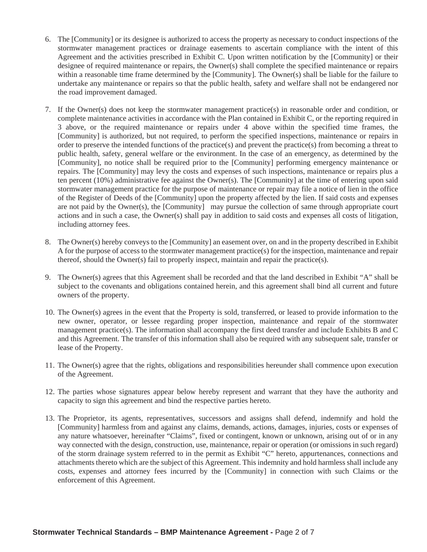- 6. The [Community] or its designee is authorized to access the property as necessary to conduct inspections of the stormwater management practices or drainage easements to ascertain compliance with the intent of this Agreement and the activities prescribed in Exhibit C. Upon written notification by the [Community] or their designee of required maintenance or repairs, the Owner(s) shall complete the specified maintenance or repairs within a reasonable time frame determined by the [Community]. The Owner(s) shall be liable for the failure to undertake any maintenance or repairs so that the public health, safety and welfare shall not be endangered nor the road improvement damaged.
- 7. If the Owner(s) does not keep the stormwater management practice(s) in reasonable order and condition, or complete maintenance activities in accordance with the Plan contained in Exhibit C, or the reporting required in 3 above, or the required maintenance or repairs under 4 above within the specified time frames, the [Community] is authorized, but not required, to perform the specified inspections, maintenance or repairs in order to preserve the intended functions of the practice(s) and prevent the practice(s) from becoming a threat to public health, safety, general welfare or the environment. In the case of an emergency, as determined by the [Community], no notice shall be required prior to the [Community] performing emergency maintenance or repairs. The [Community] may levy the costs and expenses of such inspections, maintenance or repairs plus a ten percent (10%) administrative fee against the Owner(s). The [Community] at the time of entering upon said stormwater management practice for the purpose of maintenance or repair may file a notice of lien in the office of the Register of Deeds of the [Community] upon the property affected by the lien. If said costs and expenses are not paid by the Owner(s), the [Community] may pursue the collection of same through appropriate court actions and in such a case, the Owner(s) shall pay in addition to said costs and expenses all costs of litigation, including attorney fees.
- 8. The Owner(s) hereby conveys to the [Community] an easement over, on and in the property described in Exhibit A for the purpose of access to the stormwater management practice(s) for the inspection, maintenance and repair thereof, should the Owner(s) fail to properly inspect, maintain and repair the practice(s).
- 9. The Owner(s) agrees that this Agreement shall be recorded and that the land described in Exhibit "A" shall be subject to the covenants and obligations contained herein, and this agreement shall bind all current and future owners of the property.
- 10. The Owner(s) agrees in the event that the Property is sold, transferred, or leased to provide information to the new owner, operator, or lessee regarding proper inspection, maintenance and repair of the stormwater management practice(s). The information shall accompany the first deed transfer and include Exhibits B and C and this Agreement. The transfer of this information shall also be required with any subsequent sale, transfer or lease of the Property.
- 11. The Owner(s) agree that the rights, obligations and responsibilities hereunder shall commence upon execution of the Agreement.
- 12. The parties whose signatures appear below hereby represent and warrant that they have the authority and capacity to sign this agreement and bind the respective parties hereto.
- 13. The Proprietor, its agents, representatives, successors and assigns shall defend, indemnify and hold the [Community] harmless from and against any claims, demands, actions, damages, injuries, costs or expenses of any nature whatsoever, hereinafter "Claims", fixed or contingent, known or unknown, arising out of or in any way connected with the design, construction, use, maintenance, repair or operation (or omissions in such regard) of the storm drainage system referred to in the permit as Exhibit "C" hereto, appurtenances, connections and attachments thereto which are the subject of this Agreement. This indemnity and hold harmless shall include any costs, expenses and attorney fees incurred by the [Community] in connection with such Claims or the enforcement of this Agreement.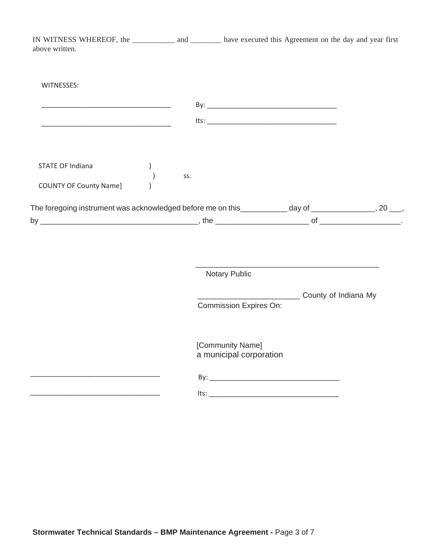| IN WITNESS WHEREOF, the ______________ and __________ have executed this Agreement on the day and year first<br>above written. |     |                                             |                      |  |
|--------------------------------------------------------------------------------------------------------------------------------|-----|---------------------------------------------|----------------------|--|
| WITNESSES:                                                                                                                     |     |                                             |                      |  |
|                                                                                                                                |     |                                             |                      |  |
| <u> 1989 - Johann John Harry, mars eta bat eta bat eta bat eta bat eta bat eta bat eta bat eta bat eta bat eta b</u>           |     |                                             |                      |  |
| STATE OF Indiana<br><b>COUNTY OF County Name]</b>                                                                              | SS. |                                             |                      |  |
| The foregoing instrument was acknowledged before me on this___________ day of ________________, 20 ___,                        |     |                                             |                      |  |
|                                                                                                                                |     |                                             |                      |  |
|                                                                                                                                |     | Notary Public                               |                      |  |
|                                                                                                                                |     | <b>Commission Expires On:</b>               | County of Indiana My |  |
|                                                                                                                                |     | [Community Name]<br>a municipal corporation |                      |  |
|                                                                                                                                |     |                                             |                      |  |
|                                                                                                                                |     | lts:                                        |                      |  |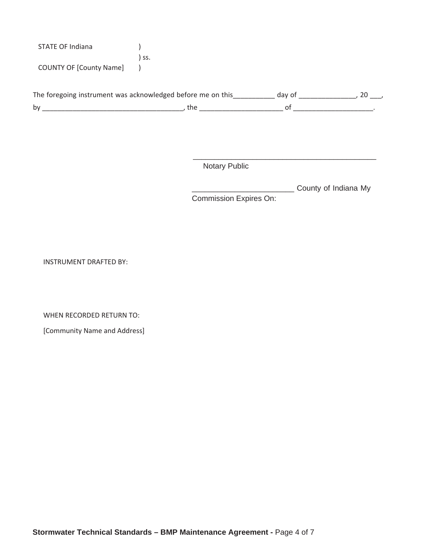| STATE OF Indiana               |     |
|--------------------------------|-----|
|                                | ss. |
| <b>COUNTY OF [County Name]</b> |     |

|    | The foregoing instrument was acknowledged before me on this |  |
|----|-------------------------------------------------------------|--|
| b٧ |                                                             |  |

Notary Public

\_\_\_\_\_\_\_\_\_\_\_\_\_\_\_\_\_\_\_\_\_\_\_\_ County of Indiana My Commission Expires On:

\_\_\_\_\_\_\_\_\_\_\_\_\_\_\_\_\_\_\_\_\_\_\_\_\_\_\_\_\_\_\_\_\_\_\_\_\_\_\_\_\_\_\_

INSTRUMENT DRAFTED BY:

WHEN RECORDED RETURN TO:

[Community Name and Address]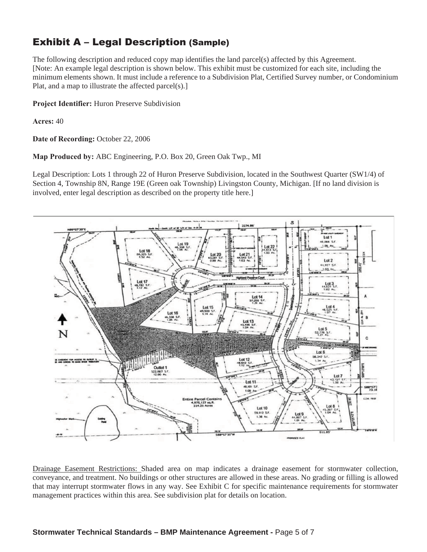## Exhibit A – Legal Description (Sample)

The following description and reduced copy map identifies the land parcel(s) affected by this Agreement. [Note: An example legal description is shown below. This exhibit must be customized for each site, including the minimum elements shown. It must include a reference to a Subdivision Plat, Certified Survey number, or Condominium Plat, and a map to illustrate the affected parcel(s).]

**Project Identifier:** Huron Preserve Subdivision

**Acres:** 40

**Date of Recording:** October 22, 2006

**Map Produced by:** ABC Engineering, P.O. Box 20, Green Oak Twp., MI

Legal Description: Lots 1 through 22 of Huron Preserve Subdivision, located in the Southwest Quarter (SW1/4) of Section 4, Township 8N, Range 19E (Green oak Township) Livingston County, Michigan. [If no land division is involved, enter legal description as described on the property title here.]



Drainage Easement Restrictions: Shaded area on map indicates a drainage easement for stormwater collection, conveyance, and treatment. No buildings or other structures are allowed in these areas. No grading or filling is allowed that may interrupt stormwater flows in any way. See Exhibit C for specific maintenance requirements for stormwater management practices within this area. See subdivision plat for details on location.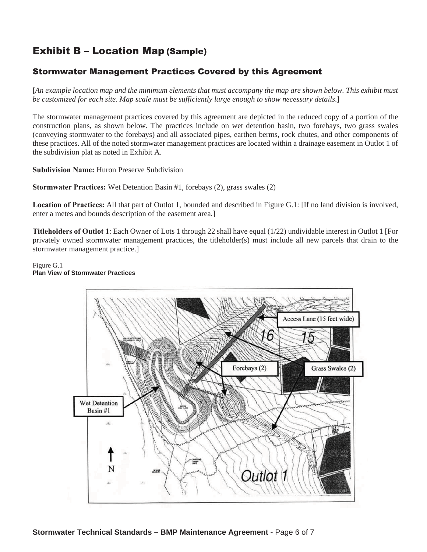# Exhibit B – Location Map (Sample)

#### Stormwater Management Practices Covered by this Agreement

[*An example location map and the minimum elements that must accompany the map are shown below. This exhibit must be customized for each site. Map scale must be sufficiently large enough to show necessary details*.]

The stormwater management practices covered by this agreement are depicted in the reduced copy of a portion of the construction plans, as shown below. The practices include on wet detention basin, two forebays, two grass swales (conveying stormwater to the forebays) and all associated pipes, earthen berms, rock chutes, and other components of these practices. All of the noted stormwater management practices are located within a drainage easement in Outlot 1 of the subdivision plat as noted in Exhibit A.

**Subdivision Name:** Huron Preserve Subdivision

**Stormwater Practices:** Wet Detention Basin #1, forebays (2), grass swales (2)

**Location of Practices:** All that part of Outlot 1, bounded and described in Figure G.1: [If no land division is involved, enter a metes and bounds description of the easement area.]

**Titleholders of Outlot 1**: Each Owner of Lots 1 through 22 shall have equal (1/22) undividable interest in Outlot 1 [For privately owned stormwater management practices, the titleholder(s) must include all new parcels that drain to the stormwater management practice.]

Figure G.1 **Plan View of Stormwater Practices**